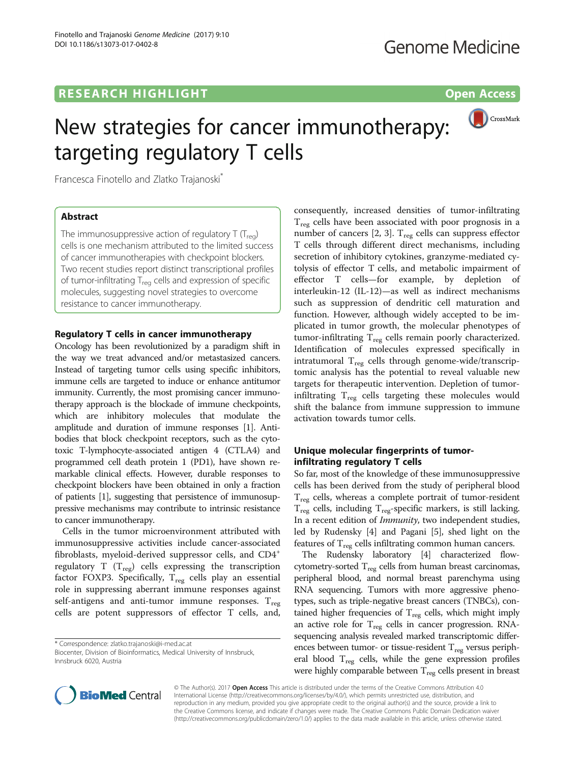# R E S EAR CH HIGH LIGH THAT LIGHT THAT THE R EARLY CHANGE THE RESERVE THAT THE RESERVE THAT THE RESERVE THAT T



Francesca Finotello and Zlatko Trajanoski\*

### **Abstract**

The immunosuppressive action of regulatory  $T(T_{\text{rec}})$ cells is one mechanism attributed to the limited success of cancer immunotherapies with checkpoint blockers. Two recent studies report distinct transcriptional profiles of tumor-infiltrating  $T_{\text{rea}}$  cells and expression of specific molecules, suggesting novel strategies to overcome resistance to cancer immunotherapy.

Regulatory T cells in cancer immunotherapy Oncology has been revolutionized by a paradigm shift in the way we treat advanced and/or metastasized cancers. Instead of targeting tumor cells using specific inhibitors, immune cells are targeted to induce or enhance antitumor immunity. Currently, the most promising cancer immunotherapy approach is the blockade of immune checkpoints, which are inhibitory molecules that modulate the amplitude and duration of immune responses [\[1\]](#page-2-0). Antibodies that block checkpoint receptors, such as the cytotoxic T-lymphocyte-associated antigen 4 (CTLA4) and programmed cell death protein 1 (PD1), have shown remarkable clinical effects. However, durable responses to checkpoint blockers have been obtained in only a fraction of patients [\[1\]](#page-2-0), suggesting that persistence of immunosuppressive mechanisms may contribute to intrinsic resistance to cancer immunotherapy.

Cells in the tumor microenvironment attributed with immunosuppressive activities include cancer-associated fibroblasts, myeloid-derived suppressor cells, and CD4<sup>+</sup> regulatory T  $(T_{reg})$  cells expressing the transcription factor FOXP3. Specifically,  $T_{reg}$  cells play an essential role in suppressing aberrant immune responses against self-antigens and anti-tumor immune responses.  $T_{reg}$ cells are potent suppressors of effector T cells, and,

\* Correspondence: [zlatko.trajanoski@i-med.ac.at](mailto:zlatko.trajanoski@i-med.ac.at)

Biocenter, Division of Bioinformatics, Medical University of Innsbruck, Innsbruck 6020, Austria

consequently, increased densities of tumor-infiltrating  $T_{\text{reg}}$  cells have been associated with poor prognosis in a number of cancers  $[2, 3]$  $[2, 3]$ . T<sub>reg</sub> cells can suppress effector T cells through different direct mechanisms, including secretion of inhibitory cytokines, granzyme-mediated cytolysis of effector T cells, and metabolic impairment of effector T cells—for example, by depletion of interleukin-12 (IL-12)—as well as indirect mechanisms such as suppression of dendritic cell maturation and function. However, although widely accepted to be implicated in tumor growth, the molecular phenotypes of tumor-infiltrating  $T_{reg}$  cells remain poorly characterized. Identification of molecules expressed specifically in intratumoral  $T_{reg}$  cells through genome-wide/transcriptomic analysis has the potential to reveal valuable new targets for therapeutic intervention. Depletion of tumorinfiltrating  $T_{\text{reg}}$  cells targeting these molecules would shift the balance from immune suppression to immune activation towards tumor cells.

# Unique molecular fingerprints of tumor-<br>infiltrating regulatory T cells

So far, most of the knowledge of these immunosuppressive cells has been derived from the study of peripheral blood  $T_{\text{reg}}$  cells, whereas a complete portrait of tumor-resident  $T_{reg}$  cells, including  $T_{reg}$ -specific markers, is still lacking. In a recent edition of Immunity, two independent studies, led by Rudensky [[4](#page-2-0)] and Pagani [[5](#page-2-0)], shed light on the features of  $\rm T_{\rm reg}$  cells infiltrating common human cancers.

The Rudensky laboratory [\[4\]](#page-2-0) characterized flowcytometry-sorted  $T_{reg}$  cells from human breast carcinomas, peripheral blood, and normal breast parenchyma using RNA sequencing. Tumors with more aggressive phenotypes, such as triple-negative breast cancers (TNBCs), contained higher frequencies of  $T_{reg}$  cells, which might imply an active role for  $\rm T_{reg}$  cells in cancer progression. RNAsequencing analysis revealed marked transcriptomic differences between tumor- or tissue-resident  $T_{\text{reg}}$  versus peripheral blood  $T_{reg}$  cells, while the gene expression profiles were highly comparable between  $T_{reg}$  cells present in breast



© The Author(s). 2017 Open Access This article is distributed under the terms of the Creative Commons Attribution 4.0 International License [\(http://creativecommons.org/licenses/by/4.0/](http://creativecommons.org/licenses/by/4.0/)), which permits unrestricted use, distribution, and reproduction in any medium, provided you give appropriate credit to the original author(s) and the source, provide a link to the Creative Commons license, and indicate if changes were made. The Creative Commons Public Domain Dedication waiver [\(http://creativecommons.org/publicdomain/zero/1.0/](http://creativecommons.org/publicdomain/zero/1.0/)) applies to the data made available in this article, unless otherwise stated.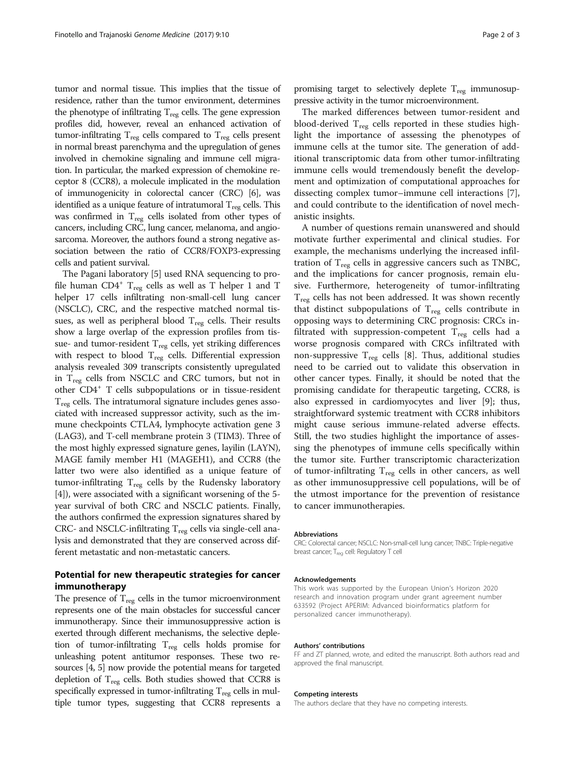tumor and normal tissue. This implies that the tissue of residence, rather than the tumor environment, determines the phenotype of infiltrating  $T_{\text{reg}}$  cells. The gene expression profiles did, however, reveal an enhanced activation of tumor-infiltrating  $T_{reg}$  cells compared to  $T_{reg}$  cells present in normal breast parenchyma and the upregulation of genes involved in chemokine signaling and immune cell migration. In particular, the marked expression of chemokine receptor 8 (CCR8), a molecule implicated in the modulation of immunogenicity in colorectal cancer (CRC) [[6](#page-2-0)], was identified as a unique feature of intratumoral  $T_{\text{reg}}$  cells. This was confirmed in  $T_{\text{reg}}$  cells isolated from other types of cancers, including CRC, lung cancer, melanoma, and angiosarcoma. Moreover, the authors found a strong negative association between the ratio of CCR8/FOXP3-expressing cells and patient survival.

The Pagani laboratory [\[5](#page-2-0)] used RNA sequencing to profile human  $CD4^+$  T<sub>reg</sub> cells as well as T helper 1 and T helper 17 cells infiltrating non-small-cell lung cancer (NSCLC), CRC, and the respective matched normal tissues, as well as peripheral blood  $T_{reg}$  cells. Their results show a large overlap of the expression profiles from tissue- and tumor-resident  $T_{reg}$  cells, yet striking differences with respect to blood T<sub>reg</sub> cells. Differential expression analysis revealed 309 transcripts consistently upregulated in  $T_{\text{reg}}$  cells from NSCLC and CRC tumors, but not in other CD4+ T cells subpopulations or in tissue-resident  $T_{\text{reg}}$  cells. The intratumoral signature includes genes associated with increased suppressor activity, such as the immune checkpoints CTLA4, lymphocyte activation gene 3 (LAG3), and T-cell membrane protein 3 (TIM3). Three of the most highly expressed signature genes, layilin (LAYN), MAGE family member H1 (MAGEH1), and CCR8 (the latter two were also identified as a unique feature of tumor-infiltrating  $T_{reg}$  cells by the Rudensky laboratory [[4\]](#page-2-0)), were associated with a significant worsening of the 5 year survival of both CRC and NSCLC patients. Finally, the authors confirmed the expression signatures shared by CRC- and NSCLC-infiltrating  $T_{reg}$  cells via single-cell analysis and demonstrated that they are conserved across different metastatic and non-metastatic cancers.

### Potential for new therapeutic strategies for cancer

The presence of  $T_{\text{reg}}$  cells in the tumor microenvironment represents one of the main obstacles for successful cancer immunotherapy. Since their immunosuppressive action is exerted through different mechanisms, the selective depletion of tumor-infiltrating  $T_{reg}$  cells holds promise for unleashing potent antitumor responses. These two resources [[4](#page-2-0), [5](#page-2-0)] now provide the potential means for targeted depletion of  $T_{reg}$  cells. Both studies showed that CCR8 is specifically expressed in tumor-infiltrating  $T_{reg}$  cells in multiple tumor types, suggesting that CCR8 represents a

promising target to selectively deplete  $T_{\text{reg}}$  immunosuppressive activity in the tumor microenvironment.

The marked differences between tumor-resident and blood-derived  $T_{\text{reg}}$  cells reported in these studies highlight the importance of assessing the phenotypes of immune cells at the tumor site. The generation of additional transcriptomic data from other tumor-infiltrating immune cells would tremendously benefit the development and optimization of computational approaches for dissecting complex tumor–immune cell interactions [\[7](#page-2-0)], and could contribute to the identification of novel mechanistic insights.

A number of questions remain unanswered and should motivate further experimental and clinical studies. For example, the mechanisms underlying the increased infiltration of  $T_{\text{reg}}$  cells in aggressive cancers such as TNBC, and the implications for cancer prognosis, remain elusive. Furthermore, heterogeneity of tumor-infiltrating  $T_{\text{reg}}$  cells has not been addressed. It was shown recently that distinct subpopulations of  $T_{\text{reg}}$  cells contribute in opposing ways to determining CRC prognosis: CRCs infiltrated with suppression-competent  $T_{\text{rec}}$  cells had a worse prognosis compared with CRCs infiltrated with non-suppressive  $T_{reg}$  cells [[8\]](#page-2-0). Thus, additional studies need to be carried out to validate this observation in other cancer types. Finally, it should be noted that the promising candidate for therapeutic targeting, CCR8, is also expressed in cardiomyocytes and liver [[9](#page-2-0)]; thus, straightforward systemic treatment with CCR8 inhibitors might cause serious immune-related adverse effects. Still, the two studies highlight the importance of assessing the phenotypes of immune cells specifically within the tumor site. Further transcriptomic characterization of tumor-infiltrating  $T_{reg}$  cells in other cancers, as well as other immunosuppressive cell populations, will be of the utmost importance for the prevention of resistance to cancer immunotherapies.

#### Abbreviations

CRC: Colorectal cancer; NSCLC: Non-small-cell lung cancer; TNBC: Triple-negative breast cancer; T<sub>reg</sub> cell: Regulatory T cell

#### Acknowledgements

This work was supported by the European Union's Horizon 2020 research and innovation program under grant agreement number 633592 (Project APERIM: Advanced bioinformatics platform for personalized cancer immunotherapy).

#### Authors' contributions

FF and ZT planned, wrote, and edited the manuscript. Both authors read and approved the final manuscript.

#### Competing interests

The authors declare that they have no competing interests.